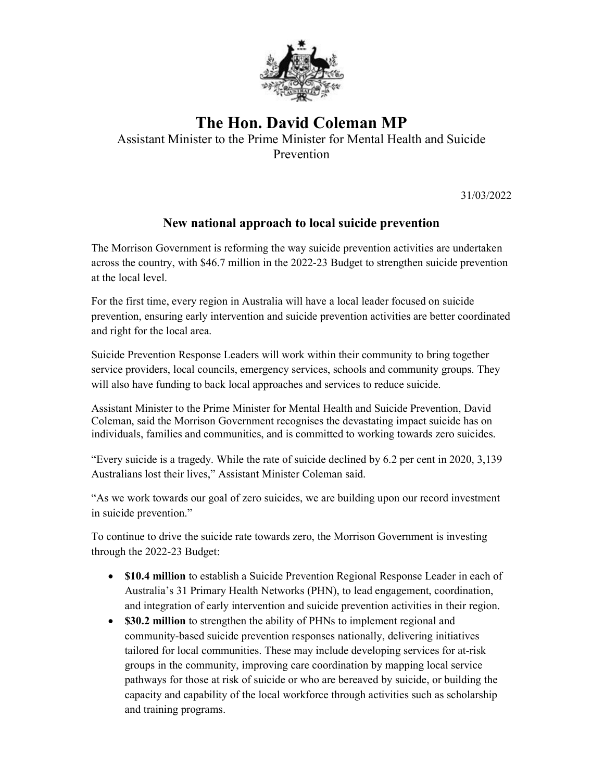

## The Hon. David Coleman MP

Assistant Minister to the Prime Minister for Mental Health and Suicide Prevention

31/03/2022

## New national approach to local suicide prevention

The Morrison Government is reforming the way suicide prevention activities are undertaken across the country, with \$46.7 million in the 2022-23 Budget to strengthen suicide prevention at the local level.

For the first time, every region in Australia will have a local leader focused on suicide prevention, ensuring early intervention and suicide prevention activities are better coordinated and right for the local area.

Suicide Prevention Response Leaders will work within their community to bring together service providers, local councils, emergency services, schools and community groups. They will also have funding to back local approaches and services to reduce suicide.

Assistant Minister to the Prime Minister for Mental Health and Suicide Prevention, David Coleman, said the Morrison Government recognises the devastating impact suicide has on individuals, families and communities, and is committed to working towards zero suicides.

"Every suicide is a tragedy. While the rate of suicide declined by 6.2 per cent in 2020, 3,139 Australians lost their lives," Assistant Minister Coleman said.

"As we work towards our goal of zero suicides, we are building upon our record investment in suicide prevention."

To continue to drive the suicide rate towards zero, the Morrison Government is investing through the 2022-23 Budget:

- \$10.4 million to establish a Suicide Prevention Regional Response Leader in each of Australia's 31 Primary Health Networks (PHN), to lead engagement, coordination, and integration of early intervention and suicide prevention activities in their region.
- \$30.2 million to strengthen the ability of PHNs to implement regional and community-based suicide prevention responses nationally, delivering initiatives tailored for local communities. These may include developing services for at-risk groups in the community, improving care coordination by mapping local service pathways for those at risk of suicide or who are bereaved by suicide, or building the capacity and capability of the local workforce through activities such as scholarship and training programs.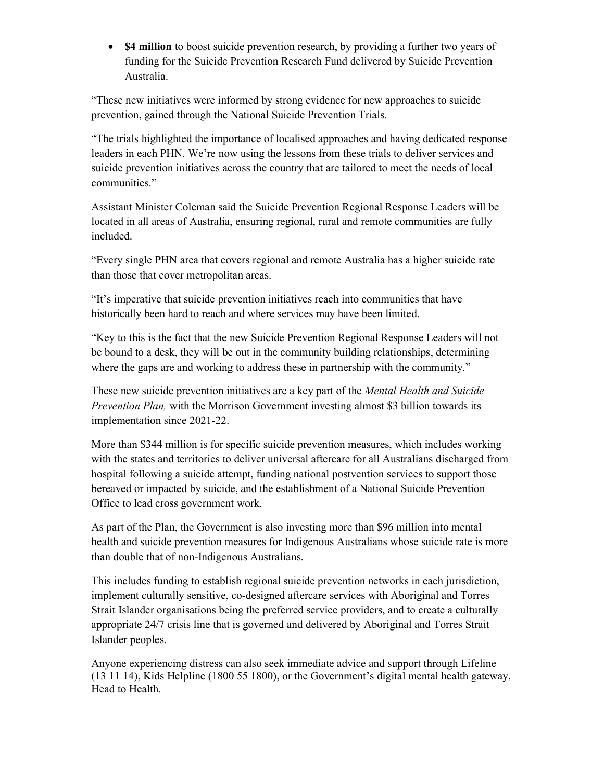• **\$4 million** to boost suicide prevention research, by providing a further two years of funding for the Suicide Prevention Research Fund delivered by Suicide Prevention Australia.

"These new initiatives were informed by strong evidence for new approaches to suicide prevention, gained through the National Suicide Prevention Trials.

"The trials highlighted the importance of localised approaches and having dedicated response leaders in each PHN. We're now using the lessons from these trials to deliver services and suicide prevention initiatives across the country that are tailored to meet the needs of local communities."

Assistant Minister Coleman said the Suicide Prevention Regional Response Leaders will be located in all areas of Australia, ensuring regional, rural and remote communities are fully included.

"Every single PHN area that covers regional and remote Australia has a higher suicide rate than those that cover metropolitan areas.

"It's imperative that suicide prevention initiatives reach into communities that have historically been hard to reach and where services may have been limited.

"Key to this is the fact that the new Suicide Prevention Regional Response Leaders will not be bound to a desk, they will be out in the community building relationships, determining where the gaps are and working to address these in partnership with the community."

These new suicide prevention initiatives are a key part of the Mental Health and Suicide Prevention Plan, with the Morrison Government investing almost \$3 billion towards its implementation since 2021-22.

More than \$344 million is for specific suicide prevention measures, which includes working with the states and territories to deliver universal aftercare for all Australians discharged from hospital following a suicide attempt, funding national postvention services to support those bereaved or impacted by suicide, and the establishment of a National Suicide Prevention Office to lead cross government work.

As part of the Plan, the Government is also investing more than \$96 million into mental health and suicide prevention measures for Indigenous Australians whose suicide rate is more than double that of non-Indigenous Australians.

This includes funding to establish regional suicide prevention networks in each jurisdiction, implement culturally sensitive, co-designed aftercare services with Aboriginal and Torres Strait Islander organisations being the preferred service providers, and to create a culturally appropriate 24/7 crisis line that is governed and delivered by Aboriginal and Torres Strait Islander peoples.

Anyone experiencing distress can also seek immediate advice and support through Lifeline (13 11 14), Kids Helpline (1800 55 1800), or the Government's digital mental health gateway, Head to Health.